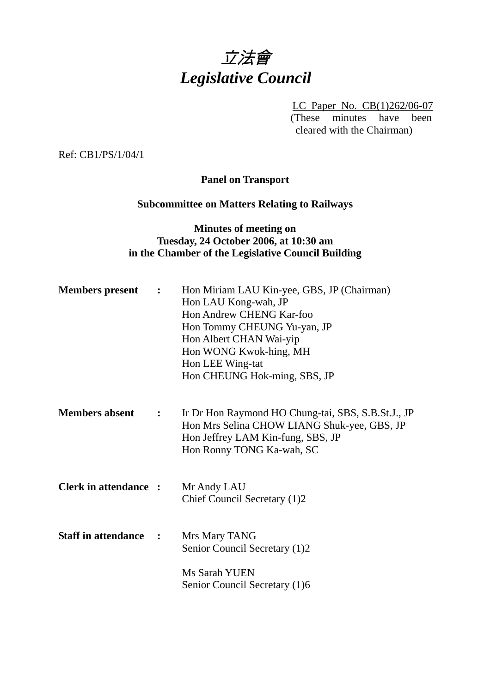# 立法會 *Legislative Council*

LC Paper No. CB(1)262/06-07 (These minutes have been cleared with the Chairman)

Ref: CB1/PS/1/04/1

## **Panel on Transport**

# **Subcommittee on Matters Relating to Railways**

## **Minutes of meeting on Tuesday, 24 October 2006, at 10:30 am in the Chamber of the Legislative Council Building**

| <b>Members</b> present       | $\mathbf{L}$ | Hon Miriam LAU Kin-yee, GBS, JP (Chairman)<br>Hon LAU Kong-wah, JP<br>Hon Andrew CHENG Kar-foo<br>Hon Tommy CHEUNG Yu-yan, JP<br>Hon Albert CHAN Wai-yip<br>Hon WONG Kwok-hing, MH<br>Hon LEE Wing-tat<br>Hon CHEUNG Hok-ming, SBS, JP |
|------------------------------|--------------|----------------------------------------------------------------------------------------------------------------------------------------------------------------------------------------------------------------------------------------|
| <b>Members absent</b>        | $\mathbf{L}$ | Ir Dr Hon Raymond HO Chung-tai, SBS, S.B.St.J., JP<br>Hon Mrs Selina CHOW LIANG Shuk-yee, GBS, JP<br>Hon Jeffrey LAM Kin-fung, SBS, JP<br>Hon Ronny TONG Ka-wah, SC                                                                    |
| <b>Clerk in attendance :</b> |              | Mr Andy LAU<br>Chief Council Secretary (1)2                                                                                                                                                                                            |
| <b>Staff in attendance :</b> |              | Mrs Mary TANG<br>Senior Council Secretary (1)2                                                                                                                                                                                         |
|                              |              | Ms Sarah YUEN<br>Senior Council Secretary (1)6                                                                                                                                                                                         |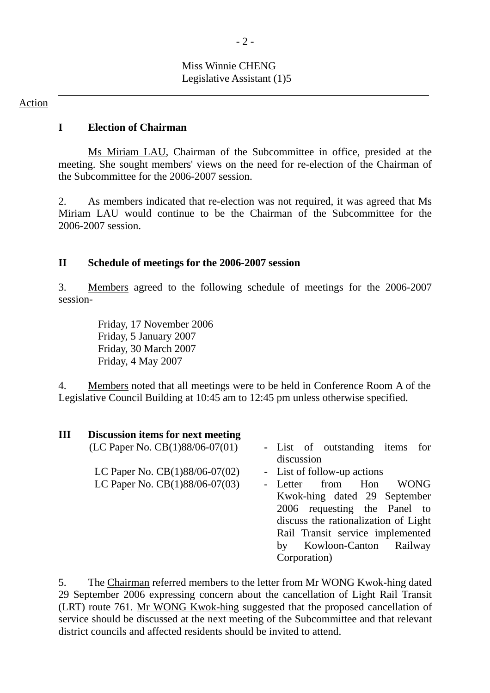# Miss Winnie CHENG Legislative Assistant (1)5

#### Action

### **I Election of Chairman**

 Ms Miriam LAU, Chairman of the Subcommittee in office, presided at the meeting. She sought members' views on the need for re-election of the Chairman of the Subcommittee for the 2006-2007 session.

2. As members indicated that re-election was not required, it was agreed that Ms Miriam LAU would continue to be the Chairman of the Subcommittee for the 2006-2007 session.

### **II Schedule of meetings for the 2006-2007 session**

3. Members agreed to the following schedule of meetings for the 2006-2007 session-

> Friday, 17 November 2006 Friday, 5 January 2007 Friday, 30 March 2007 Friday, 4 May 2007

4. Members noted that all meetings were to be held in Conference Room A of the Legislative Council Building at 10:45 am to 12:45 pm unless otherwise specified.

| Ш | Discussion items for next meeting |                                                  |
|---|-----------------------------------|--------------------------------------------------|
|   | (LC Paper No. CB(1)88/06-07(01)   | - List of outstanding items<br>for<br>discussion |
|   | LC Paper No. $CB(1)88/06-07(02)$  | - List of follow-up actions                      |
|   | LC Paper No. CB(1)88/06-07(03)    | - Letter from<br>Hon<br><b>WONG</b>              |
|   |                                   | Kwok-hing dated 29 September                     |
|   |                                   | 2006 requesting the Panel to                     |
|   |                                   | discuss the rationalization of Light             |
|   |                                   | Rail Transit service implemented                 |
|   |                                   | Kowloon-Canton<br>Railway<br>by                  |
|   |                                   | Corporation)                                     |

5. The Chairman referred members to the letter from Mr WONG Kwok-hing dated 29 September 2006 expressing concern about the cancellation of Light Rail Transit (LRT) route 761. Mr WONG Kwok-hing suggested that the proposed cancellation of service should be discussed at the next meeting of the Subcommittee and that relevant district councils and affected residents should be invited to attend.